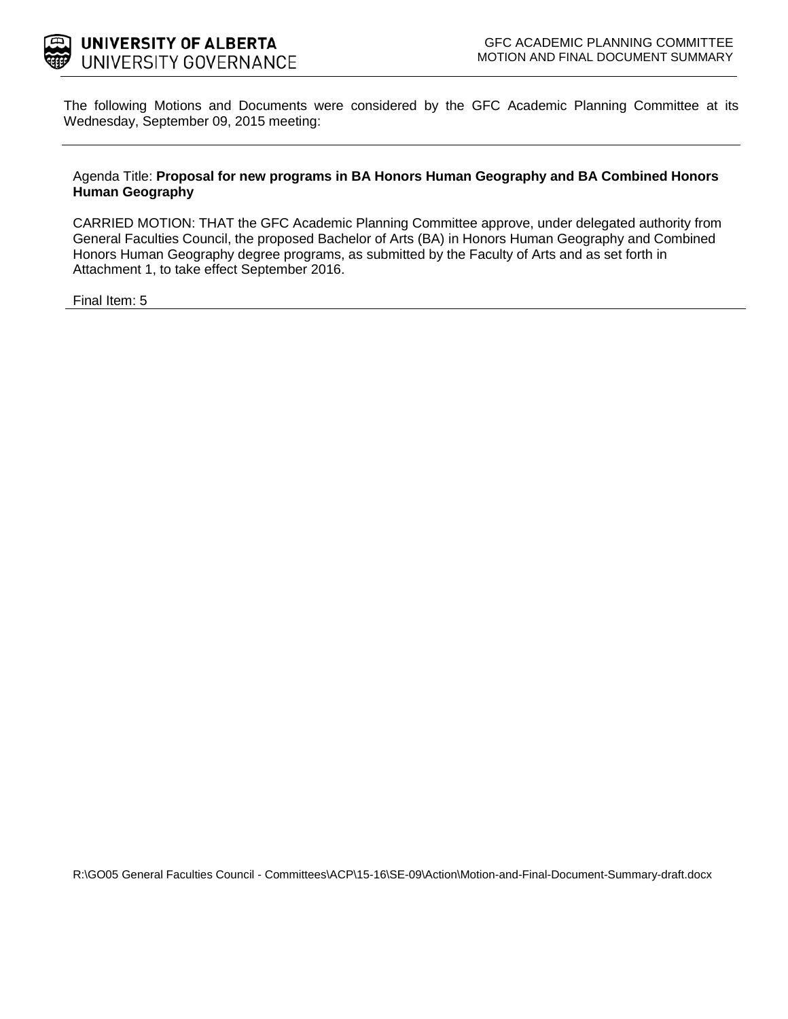

The following Motions and Documents were considered by the GFC Academic Planning Committee at its Wednesday, September 09, 2015 meeting:

#### Agenda Title: **Proposal for new programs in BA Honors Human Geography and BA Combined Honors Human Geography**

CARRIED MOTION: THAT the GFC Academic Planning Committee approve, under delegated authority from General Faculties Council, the proposed Bachelor of Arts (BA) in Honors Human Geography and Combined Honors Human Geography degree programs, as submitted by the Faculty of Arts and as set forth in Attachment 1, to take effect September 2016.

[Final Item: 5](#page-1-0)

R:\GO05 General Faculties Council - Committees\ACP\15-16\SE-09\Action\Motion-and-Final-Document-Summary-draft.docx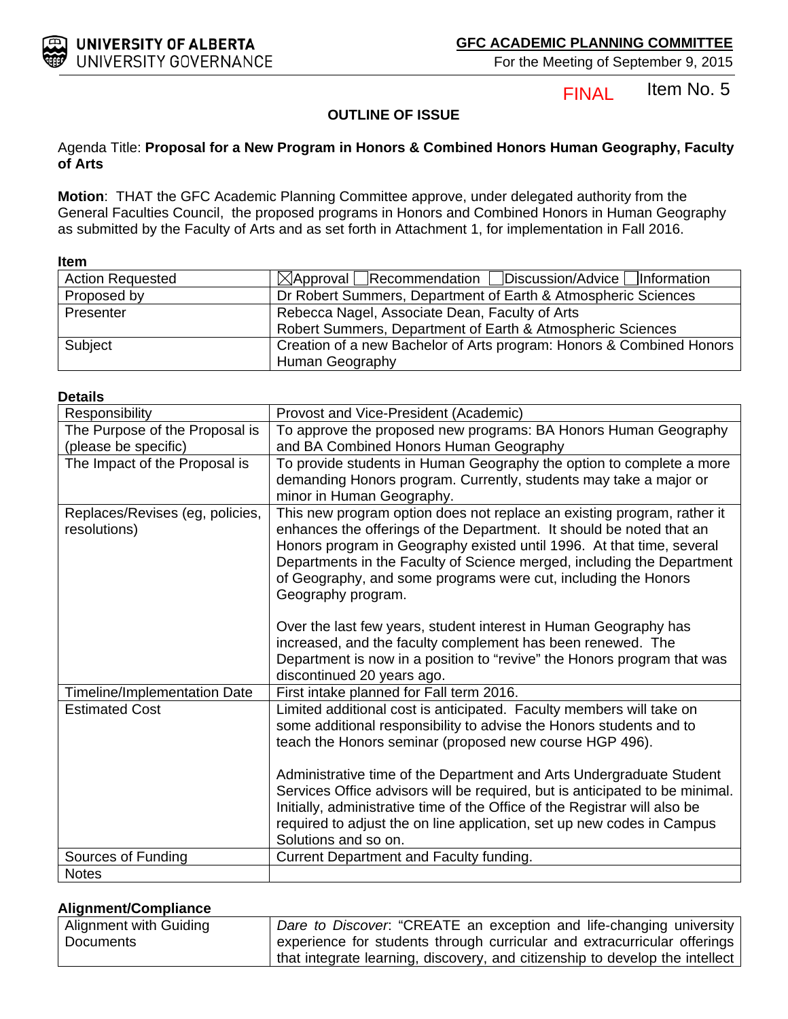#### Item No. 5 **FINAL**

#### **OUTLINE OF ISSUE**

#### <span id="page-1-0"></span>Agenda Title: **Proposal for a New Program in Honors & Combined Honors Human Geography, Faculty of Arts**

**Motion**: THAT the GFC Academic Planning Committee approve, under delegated authority from the General Faculties Council, the proposed programs in Honors and Combined Honors in Human Geography as submitted by the Faculty of Arts and as set forth in Attachment 1, for implementation in Fall 2016.

#### **Item**

| <b>Action Requested</b> | $\boxtimes$ Approval Recommendation Discussion/Advice Information    |
|-------------------------|----------------------------------------------------------------------|
| Proposed by             | Dr Robert Summers, Department of Earth & Atmospheric Sciences        |
| Presenter               | Rebecca Nagel, Associate Dean, Faculty of Arts                       |
|                         | Robert Summers, Department of Earth & Atmospheric Sciences           |
| Subject                 | Creation of a new Bachelor of Arts program: Honors & Combined Honors |
|                         | Human Geography                                                      |

| Delans                                          |                                                                                                                                                                                                                                                                                                                                                                                                                                                                                                                                                |
|-------------------------------------------------|------------------------------------------------------------------------------------------------------------------------------------------------------------------------------------------------------------------------------------------------------------------------------------------------------------------------------------------------------------------------------------------------------------------------------------------------------------------------------------------------------------------------------------------------|
| Responsibility                                  | Provost and Vice-President (Academic)                                                                                                                                                                                                                                                                                                                                                                                                                                                                                                          |
| The Purpose of the Proposal is                  | To approve the proposed new programs: BA Honors Human Geography                                                                                                                                                                                                                                                                                                                                                                                                                                                                                |
| (please be specific)                            | and BA Combined Honors Human Geography                                                                                                                                                                                                                                                                                                                                                                                                                                                                                                         |
| The Impact of the Proposal is                   | To provide students in Human Geography the option to complete a more<br>demanding Honors program. Currently, students may take a major or<br>minor in Human Geography.                                                                                                                                                                                                                                                                                                                                                                         |
| Replaces/Revises (eg, policies,<br>resolutions) | This new program option does not replace an existing program, rather it<br>enhances the offerings of the Department. It should be noted that an<br>Honors program in Geography existed until 1996. At that time, several<br>Departments in the Faculty of Science merged, including the Department<br>of Geography, and some programs were cut, including the Honors<br>Geography program.<br>Over the last few years, student interest in Human Geography has                                                                                 |
|                                                 | increased, and the faculty complement has been renewed. The<br>Department is now in a position to "revive" the Honors program that was<br>discontinued 20 years ago.                                                                                                                                                                                                                                                                                                                                                                           |
| <b>Timeline/Implementation Date</b>             | First intake planned for Fall term 2016.                                                                                                                                                                                                                                                                                                                                                                                                                                                                                                       |
| <b>Estimated Cost</b>                           | Limited additional cost is anticipated. Faculty members will take on<br>some additional responsibility to advise the Honors students and to<br>teach the Honors seminar (proposed new course HGP 496).<br>Administrative time of the Department and Arts Undergraduate Student<br>Services Office advisors will be required, but is anticipated to be minimal.<br>Initially, administrative time of the Office of the Registrar will also be<br>required to adjust the on line application, set up new codes in Campus<br>Solutions and so on. |
| Sources of Funding                              | Current Department and Faculty funding.                                                                                                                                                                                                                                                                                                                                                                                                                                                                                                        |
| <b>Notes</b>                                    |                                                                                                                                                                                                                                                                                                                                                                                                                                                                                                                                                |

#### **Alignment/Compliance**

| Alignment with Guiding | Dare to Discover. "CREATE an exception and life-changing university          |
|------------------------|------------------------------------------------------------------------------|
| Documents              | experience for students through curricular and extracurricular offerings     |
|                        | that integrate learning, discovery, and citizenship to develop the intellect |

### **Details**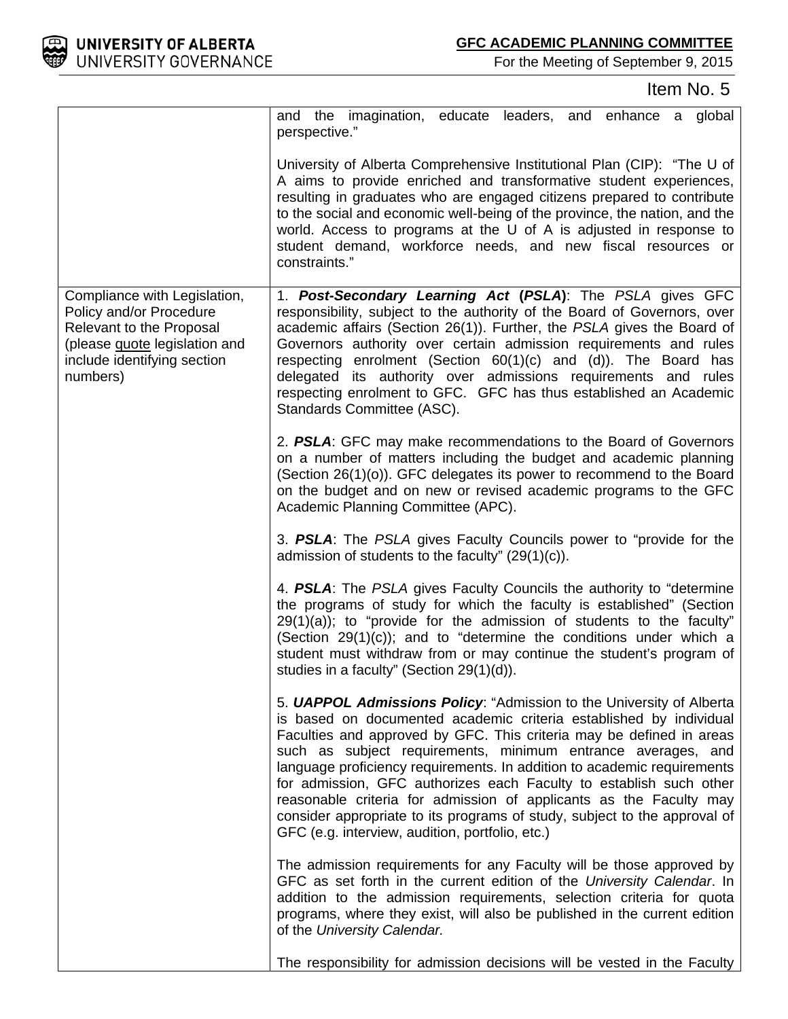

Item No. 5

|                                                                                                                                                                        | and the imagination, educate leaders, and enhance a global<br>perspective."                                                                                                                                                                                                                                                                                                                                                                                                                                                                                                                                                                      |
|------------------------------------------------------------------------------------------------------------------------------------------------------------------------|--------------------------------------------------------------------------------------------------------------------------------------------------------------------------------------------------------------------------------------------------------------------------------------------------------------------------------------------------------------------------------------------------------------------------------------------------------------------------------------------------------------------------------------------------------------------------------------------------------------------------------------------------|
|                                                                                                                                                                        | University of Alberta Comprehensive Institutional Plan (CIP): "The U of<br>A aims to provide enriched and transformative student experiences,<br>resulting in graduates who are engaged citizens prepared to contribute<br>to the social and economic well-being of the province, the nation, and the<br>world. Access to programs at the U of A is adjusted in response to<br>student demand, workforce needs, and new fiscal resources or<br>constraints."                                                                                                                                                                                     |
| Compliance with Legislation,<br>Policy and/or Procedure<br><b>Relevant to the Proposal</b><br>(please guote legislation and<br>include identifying section<br>numbers) | 1. Post-Secondary Learning Act (PSLA): The PSLA gives GFC<br>responsibility, subject to the authority of the Board of Governors, over<br>academic affairs (Section 26(1)). Further, the PSLA gives the Board of<br>Governors authority over certain admission requirements and rules<br>respecting enrolment (Section $60(1)(c)$ and $(d)$ ). The Board has<br>delegated its authority over admissions requirements and rules<br>respecting enrolment to GFC. GFC has thus established an Academic<br>Standards Committee (ASC).                                                                                                                 |
|                                                                                                                                                                        | 2. PSLA: GFC may make recommendations to the Board of Governors<br>on a number of matters including the budget and academic planning<br>(Section 26(1)(o)). GFC delegates its power to recommend to the Board<br>on the budget and on new or revised academic programs to the GFC<br>Academic Planning Committee (APC).                                                                                                                                                                                                                                                                                                                          |
|                                                                                                                                                                        | 3. PSLA: The PSLA gives Faculty Councils power to "provide for the<br>admission of students to the faculty" $(29(1)(c))$ .                                                                                                                                                                                                                                                                                                                                                                                                                                                                                                                       |
|                                                                                                                                                                        | 4. PSLA: The PSLA gives Faculty Councils the authority to "determine"<br>the programs of study for which the faculty is established" (Section<br>$29(1)(a)$ ; to "provide for the admission of students to the faculty"<br>(Section 29(1)(c)); and to "determine the conditions under which a<br>student must withdraw from or may continue the student's program of<br>studies in a faculty" (Section 29(1)(d)).                                                                                                                                                                                                                                |
|                                                                                                                                                                        | 5. <b>UAPPOL Admissions Policy:</b> "Admission to the University of Alberta<br>is based on documented academic criteria established by individual<br>Faculties and approved by GFC. This criteria may be defined in areas<br>such as subject requirements, minimum entrance averages, and<br>language proficiency requirements. In addition to academic requirements<br>for admission, GFC authorizes each Faculty to establish such other<br>reasonable criteria for admission of applicants as the Faculty may<br>consider appropriate to its programs of study, subject to the approval of<br>GFC (e.g. interview, audition, portfolio, etc.) |
|                                                                                                                                                                        | The admission requirements for any Faculty will be those approved by<br>GFC as set forth in the current edition of the University Calendar. In<br>addition to the admission requirements, selection criteria for quota<br>programs, where they exist, will also be published in the current edition<br>of the University Calendar.                                                                                                                                                                                                                                                                                                               |
|                                                                                                                                                                        | The responsibility for admission decisions will be vested in the Faculty                                                                                                                                                                                                                                                                                                                                                                                                                                                                                                                                                                         |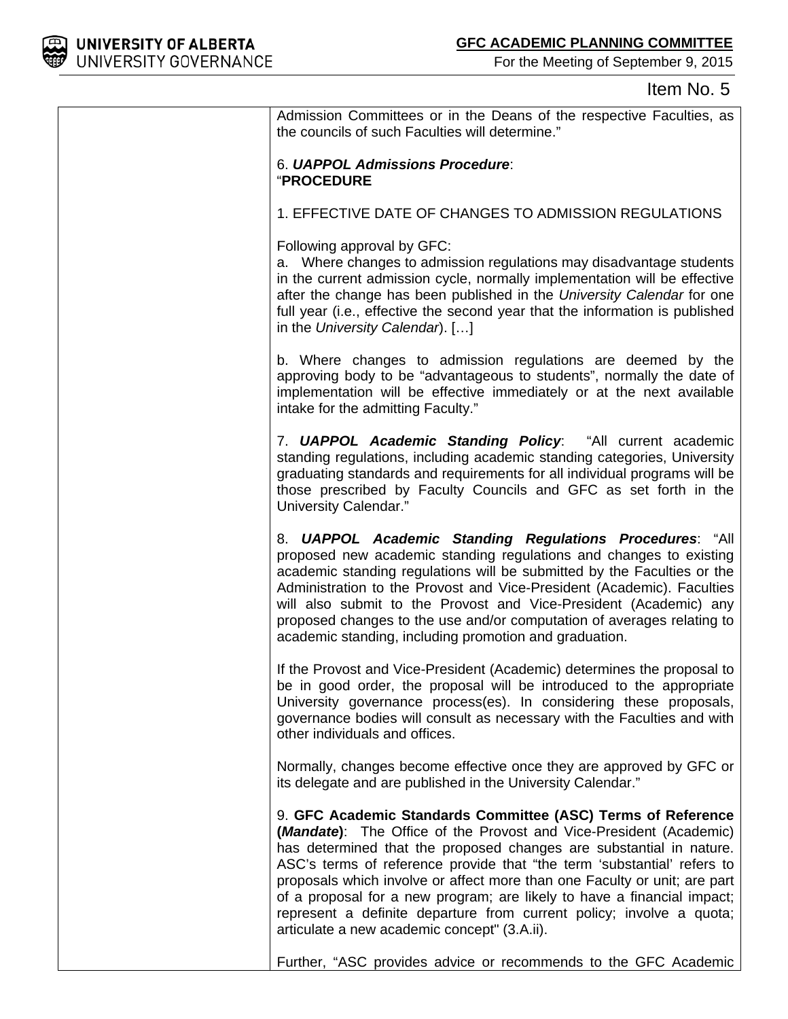

### Item No. 5

| Admission Committees or in the Deans of the respective Faculties, as<br>the councils of such Faculties will determine."                                                                                                                                                                                                                                                                                                                                                                                                                                                       |
|-------------------------------------------------------------------------------------------------------------------------------------------------------------------------------------------------------------------------------------------------------------------------------------------------------------------------------------------------------------------------------------------------------------------------------------------------------------------------------------------------------------------------------------------------------------------------------|
| 6. UAPPOL Admissions Procedure:<br><b>"PROCEDURE</b>                                                                                                                                                                                                                                                                                                                                                                                                                                                                                                                          |
| 1. EFFECTIVE DATE OF CHANGES TO ADMISSION REGULATIONS                                                                                                                                                                                                                                                                                                                                                                                                                                                                                                                         |
| Following approval by GFC:<br>a. Where changes to admission regulations may disadvantage students<br>in the current admission cycle, normally implementation will be effective<br>after the change has been published in the University Calendar for one<br>full year (i.e., effective the second year that the information is published<br>in the University Calendar). []                                                                                                                                                                                                   |
| b. Where changes to admission regulations are deemed by the<br>approving body to be "advantageous to students", normally the date of<br>implementation will be effective immediately or at the next available<br>intake for the admitting Faculty."                                                                                                                                                                                                                                                                                                                           |
| 7. UAPPOL Academic Standing Policy: "All current academic<br>standing regulations, including academic standing categories, University<br>graduating standards and requirements for all individual programs will be<br>those prescribed by Faculty Councils and GFC as set forth in the<br>University Calendar."                                                                                                                                                                                                                                                               |
| 8. UAPPOL Academic Standing Regulations Procedures: "All<br>proposed new academic standing regulations and changes to existing<br>academic standing regulations will be submitted by the Faculties or the<br>Administration to the Provost and Vice-President (Academic). Faculties<br>will also submit to the Provost and Vice-President (Academic) any<br>proposed changes to the use and/or computation of averages relating to<br>academic standing, including promotion and graduation.                                                                                  |
| If the Provost and Vice-President (Academic) determines the proposal to<br>be in good order, the proposal will be introduced to the appropriate<br>University governance process(es). In considering these proposals,<br>governance bodies will consult as necessary with the Faculties and with<br>other individuals and offices.                                                                                                                                                                                                                                            |
| Normally, changes become effective once they are approved by GFC or<br>its delegate and are published in the University Calendar."                                                                                                                                                                                                                                                                                                                                                                                                                                            |
| 9. GFC Academic Standards Committee (ASC) Terms of Reference<br>( <i>Mandate</i> ): The Office of the Provost and Vice-President (Academic)<br>has determined that the proposed changes are substantial in nature.<br>ASC's terms of reference provide that "the term 'substantial' refers to<br>proposals which involve or affect more than one Faculty or unit; are part<br>of a proposal for a new program; are likely to have a financial impact;<br>represent a definite departure from current policy; involve a quota;<br>articulate a new academic concept" (3.A.ii). |
| Further, "ASC provides advice or recommends to the GFC Academic                                                                                                                                                                                                                                                                                                                                                                                                                                                                                                               |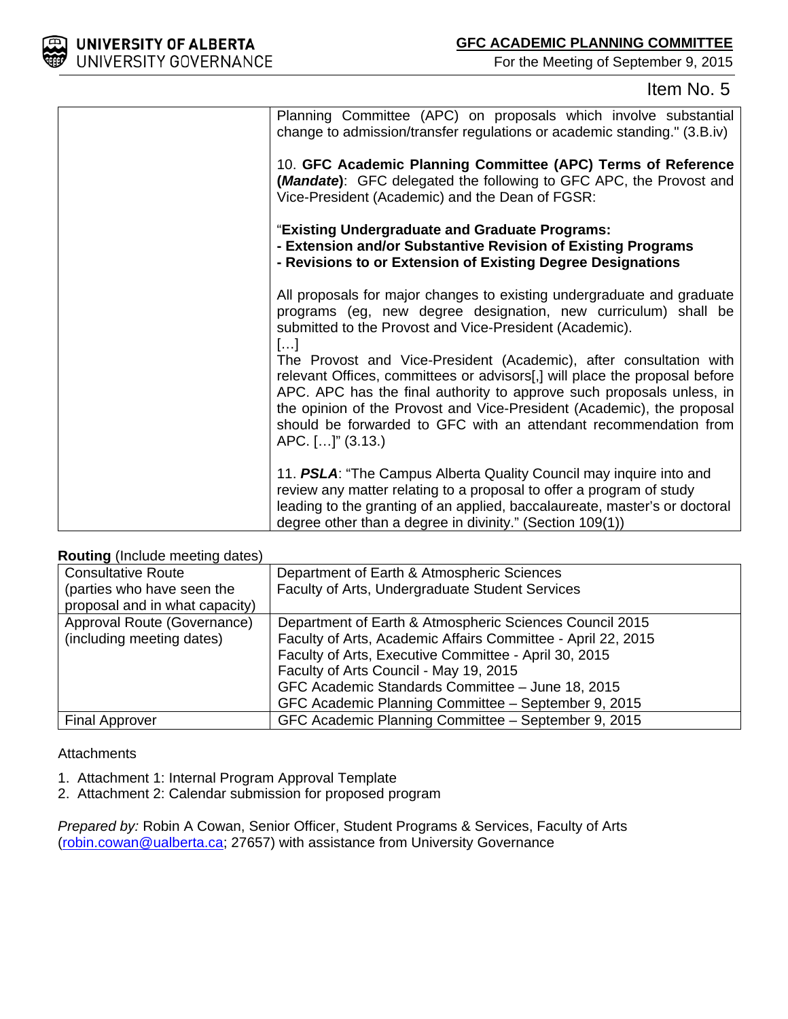

### Item No. 5

| Planning Committee (APC) on proposals which involve substantial<br>change to admission/transfer regulations or academic standing." (3.B.iv)                                                                                                                                                                                                                                                 |
|---------------------------------------------------------------------------------------------------------------------------------------------------------------------------------------------------------------------------------------------------------------------------------------------------------------------------------------------------------------------------------------------|
| 10. GFC Academic Planning Committee (APC) Terms of Reference<br>(Mandate): GFC delegated the following to GFC APC, the Provost and<br>Vice-President (Academic) and the Dean of FGSR:                                                                                                                                                                                                       |
| "Existing Undergraduate and Graduate Programs:<br>- Extension and/or Substantive Revision of Existing Programs<br>- Revisions to or Extension of Existing Degree Designations                                                                                                                                                                                                               |
| All proposals for major changes to existing undergraduate and graduate<br>programs (eg, new degree designation, new curriculum) shall be<br>submitted to the Provost and Vice-President (Academic).<br>$[]$                                                                                                                                                                                 |
| The Provost and Vice-President (Academic), after consultation with<br>relevant Offices, committees or advisors[,] will place the proposal before<br>APC. APC has the final authority to approve such proposals unless, in<br>the opinion of the Provost and Vice-President (Academic), the proposal<br>should be forwarded to GFC with an attendant recommendation from<br>APC. []" (3.13.) |
| 11. PSLA: "The Campus Alberta Quality Council may inquire into and<br>review any matter relating to a proposal to offer a program of study<br>leading to the granting of an applied, baccalaureate, master's or doctoral<br>degree other than a degree in divinity." (Section 109(1))                                                                                                       |

#### **Routing** (Include meeting dates)

| <b>Consultative Route</b>      | Department of Earth & Atmospheric Sciences                   |
|--------------------------------|--------------------------------------------------------------|
| (parties who have seen the     | Faculty of Arts, Undergraduate Student Services              |
| proposal and in what capacity) |                                                              |
| Approval Route (Governance)    | Department of Earth & Atmospheric Sciences Council 2015      |
| (including meeting dates)      | Faculty of Arts, Academic Affairs Committee - April 22, 2015 |
|                                | Faculty of Arts, Executive Committee - April 30, 2015        |
|                                | Faculty of Arts Council - May 19, 2015                       |
|                                | GFC Academic Standards Committee - June 18, 2015             |
|                                | GFC Academic Planning Committee - September 9, 2015          |
| <b>Final Approver</b>          | GFC Academic Planning Committee - September 9, 2015          |

#### **Attachments**

- 1. Attachment 1: Internal Program Approval Template
- 2. Attachment 2: Calendar submission for proposed program

*Prepared by:* Robin A Cowan, Senior Officer, Student Programs & Services, Faculty of Arts [\(robin.cowan@ualberta.ca;](mailto:robin.cowan@ualberta.ca) 27657) with assistance from University Governance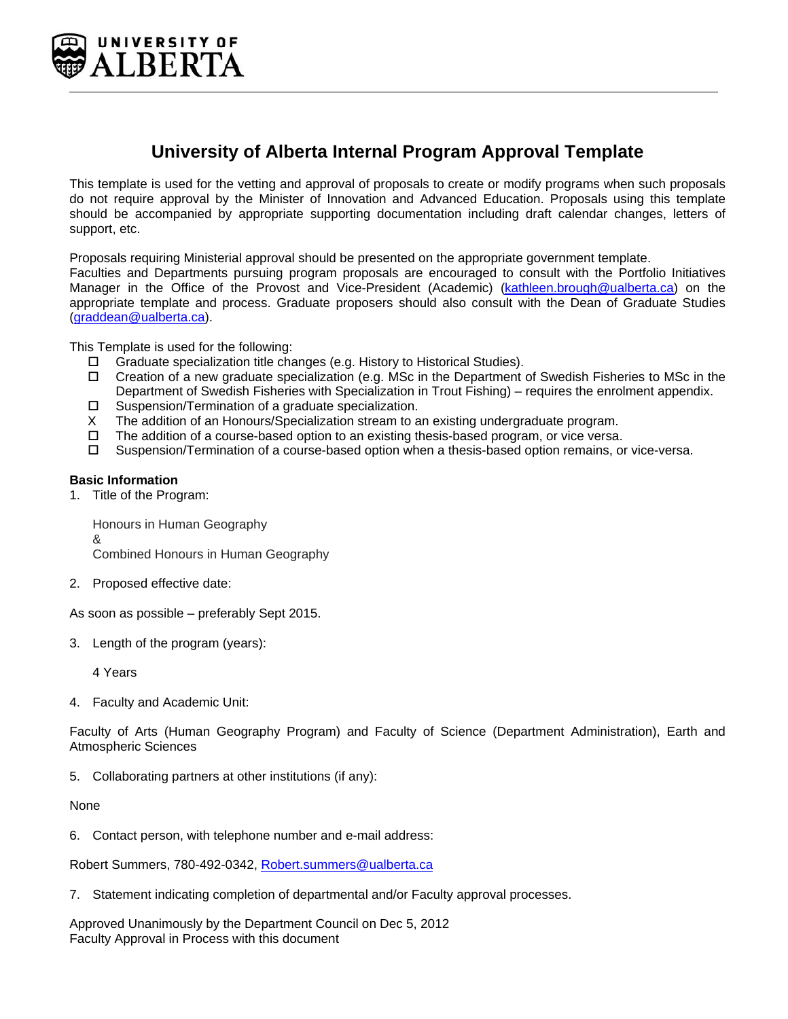

### **University of Alberta Internal Program Approval Template**

This template is used for the vetting and approval of proposals to create or modify programs when such proposals do not require approval by the Minister of Innovation and Advanced Education. Proposals using this template should be accompanied by appropriate supporting documentation including draft calendar changes, letters of support, etc.

Proposals requiring Ministerial approval should be presented on the appropriate government template.

Faculties and Departments pursuing program proposals are encouraged to consult with the Portfolio Initiatives Manager in the Office of the Provost and Vice-President (Academic) (kathleen.brough@ualberta.ca) on the appropriate template and process. Graduate proposers should also consult with the Dean of Graduate Studies (graddean@ualberta.ca).

This Template is used for the following:

- $\Box$  Graduate specialization title changes (e.g. History to Historical Studies).
- $\Box$  Creation of a new graduate specialization (e.g. MSc in the Department of Swedish Fisheries to MSc in the Department of Swedish Fisheries with Specialization in Trout Fishing) – requires the enrolment appendix.
- $\square$  Suspension/Termination of a graduate specialization.
- X The addition of an Honours/Specialization stream to an existing undergraduate program.
- $\Box$  The addition of a course-based option to an existing thesis-based program, or vice versa.
- □ Suspension/Termination of a course-based option when a thesis-based option remains, or vice-versa.

#### **Basic Information**

1. Title of the Program:

Honours in Human Geography & Combined Honours in Human Geography

2. Proposed effective date:

As soon as possible – preferably Sept 2015.

3. Length of the program (years):

4 Years

4. Faculty and Academic Unit:

Faculty of Arts (Human Geography Program) and Faculty of Science (Department Administration), Earth and Atmospheric Sciences

5. Collaborating partners at other institutions (if any):

None

6. Contact person, with telephone number and e-mail address:

Robert Summers, 780-492-0342, Robert.summers@ualberta.ca

7. Statement indicating completion of departmental and/or Faculty approval processes.

Approved Unanimously by the Department Council on Dec 5, 2012 Faculty Approval in Process with this document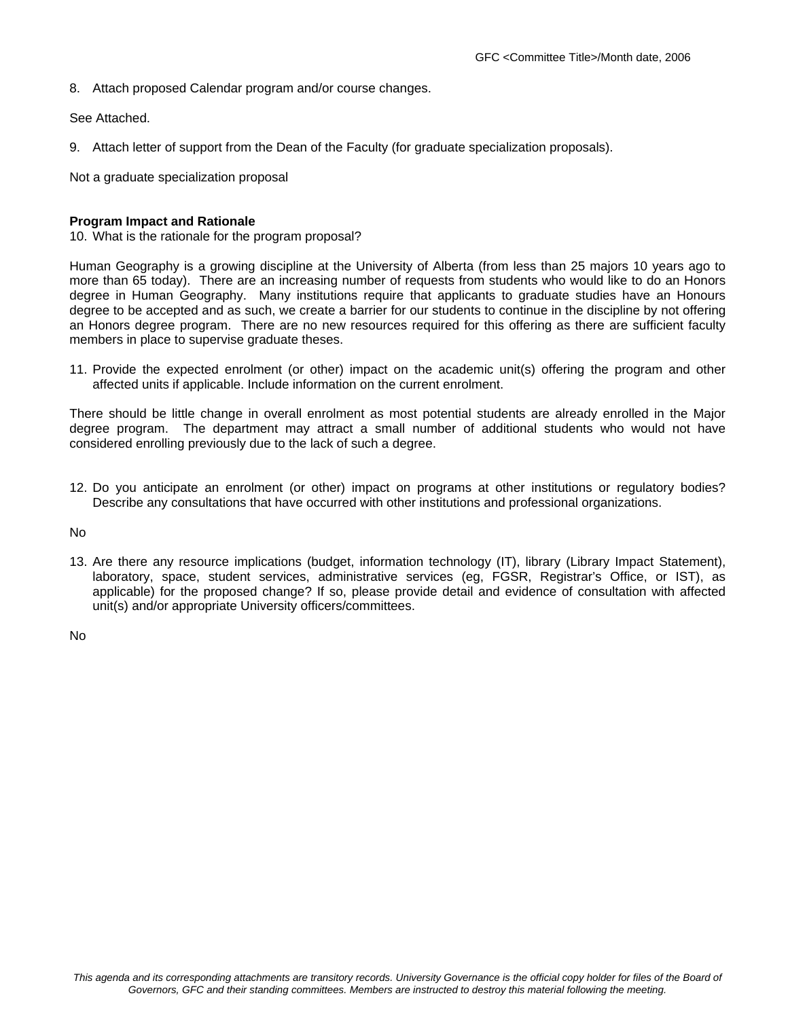8. Attach proposed Calendar program and/or course changes.

See Attached.

9. Attach letter of support from the Dean of the Faculty (for graduate specialization proposals).

Not a graduate specialization proposal

#### **Program Impact and Rationale**

10. What is the rationale for the program proposal?

Human Geography is a growing discipline at the University of Alberta (from less than 25 majors 10 years ago to more than 65 today). There are an increasing number of requests from students who would like to do an Honors degree in Human Geography. Many institutions require that applicants to graduate studies have an Honours degree to be accepted and as such, we create a barrier for our students to continue in the discipline by not offering an Honors degree program. There are no new resources required for this offering as there are sufficient faculty members in place to supervise graduate theses.

11. Provide the expected enrolment (or other) impact on the academic unit(s) offering the program and other affected units if applicable. Include information on the current enrolment.

There should be little change in overall enrolment as most potential students are already enrolled in the Major degree program. The department may attract a small number of additional students who would not have considered enrolling previously due to the lack of such a degree.

12. Do you anticipate an enrolment (or other) impact on programs at other institutions or regulatory bodies? Describe any consultations that have occurred with other institutions and professional organizations.

No

13. Are there any resource implications (budget, information technology (IT), library (Library Impact Statement), laboratory, space, student services, administrative services (eg, FGSR, Registrar's Office, or IST), as applicable) for the proposed change? If so, please provide detail and evidence of consultation with affected unit(s) and/or appropriate University officers/committees.

No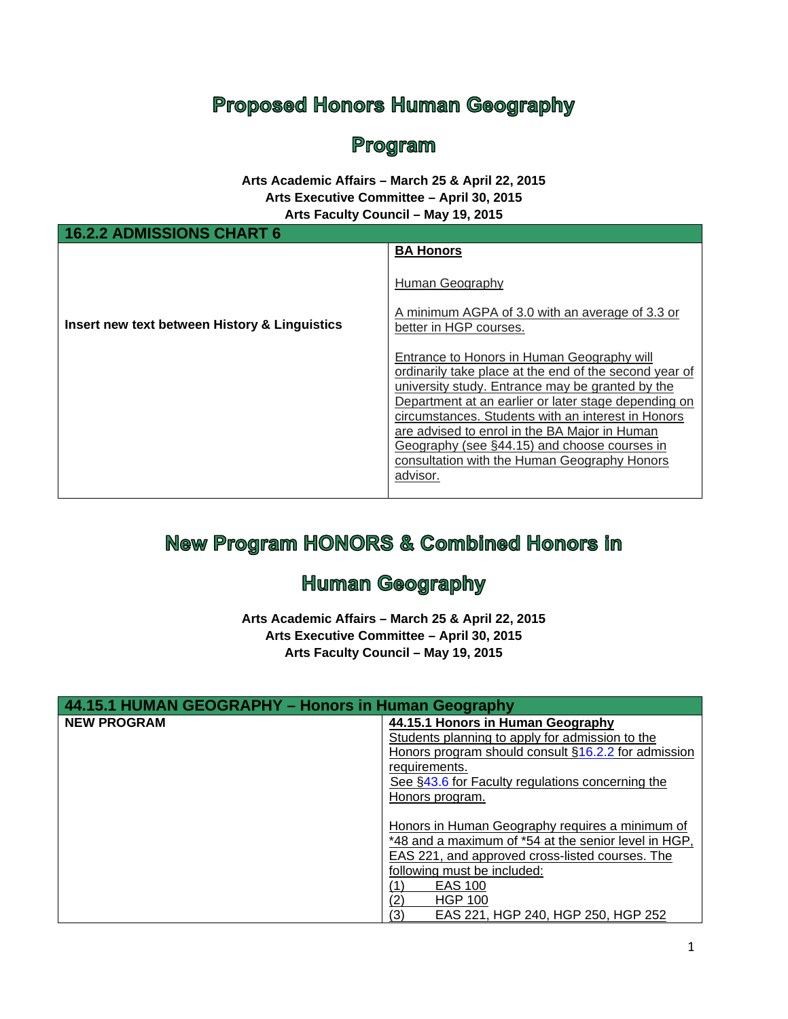# **Proposed Honors Human Geography**

## Program

#### **Arts Academic Affairs – March 25 & April 22, 2015 Arts Executive Committee – April 30, 2015 Arts Faculty Council – May 19, 2015**

| 16.2.2 ADMISSIONS CHART 6                     |                                                                                                                                                                                                                                                                                                                                                                                                                                     |
|-----------------------------------------------|-------------------------------------------------------------------------------------------------------------------------------------------------------------------------------------------------------------------------------------------------------------------------------------------------------------------------------------------------------------------------------------------------------------------------------------|
| Insert new text between History & Linguistics | <b>BA Honors</b><br>Human Geography<br>A minimum AGPA of 3.0 with an average of 3.3 or<br>better in HGP courses.                                                                                                                                                                                                                                                                                                                    |
|                                               | Entrance to Honors in Human Geography will<br>ordinarily take place at the end of the second year of<br>university study. Entrance may be granted by the<br>Department at an earlier or later stage depending on<br>circumstances. Students with an interest in Honors<br>are advised to enrol in the BA Major in Human<br>Geography (see §44.15) and choose courses in<br>consultation with the Human Geography Honors<br>advisor. |

# **New Program HONORS & Combined Honors in**

# **Human Geography**

**Arts Academic Affairs – March 25 & April 22, 2015 Arts Executive Committee – April 30, 2015 Arts Faculty Council – May 19, 2015**

| 44.15.1 HUMAN GEOGRAPHY - Honors in Human Geography |                                                      |
|-----------------------------------------------------|------------------------------------------------------|
| <b>NEW PROGRAM</b>                                  | 44.15.1 Honors in Human Geography                    |
|                                                     | Students planning to apply for admission to the      |
|                                                     | Honors program should consult §16.2.2 for admission  |
|                                                     | requirements.                                        |
|                                                     | See §43.6 for Faculty regulations concerning the     |
|                                                     | Honors program.                                      |
|                                                     |                                                      |
|                                                     | Honors in Human Geography requires a minimum of      |
|                                                     | *48 and a maximum of *54 at the senior level in HGP, |
|                                                     | EAS 221, and approved cross-listed courses. The      |
|                                                     | following must be included:                          |
|                                                     | <b>EAS 100</b>                                       |
|                                                     | (2`<br><b>HGP 100</b>                                |
|                                                     | (3)<br>EAS 221, HGP 240, HGP 250, HGP 252            |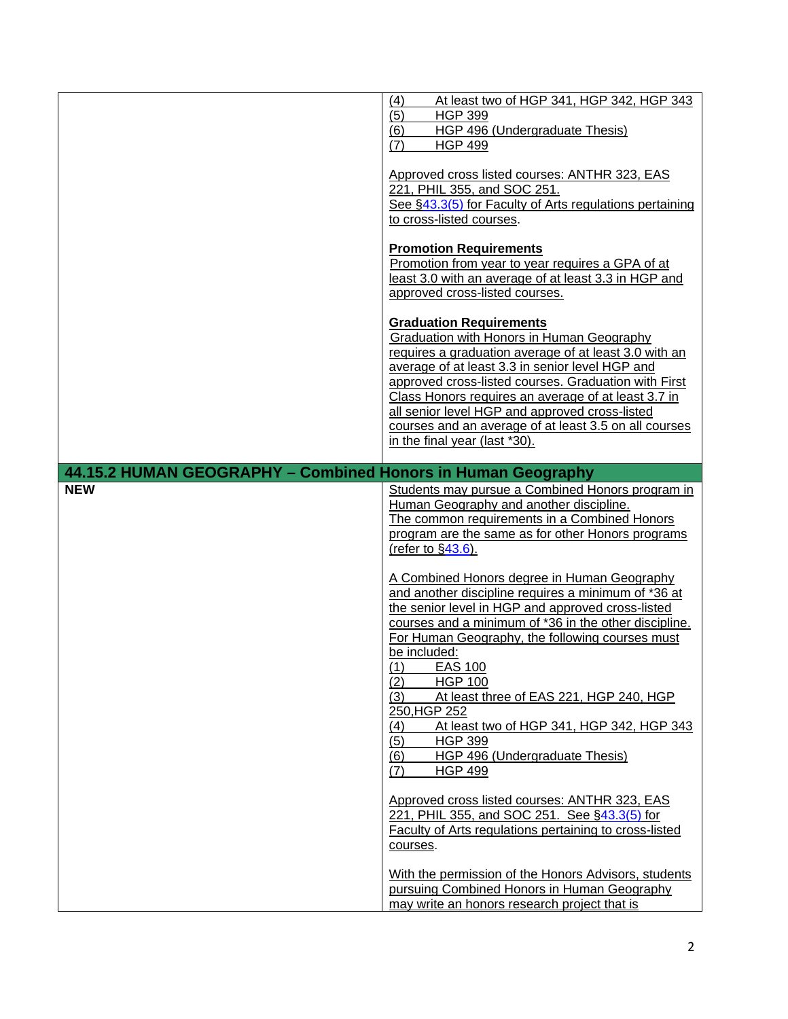|                                                              | At least two of HGP 341, HGP 342, HGP 343<br>(4)<br>(5)<br><b>HGP 399</b><br>(6)<br>HGP 496 (Undergraduate Thesis)<br>(7)<br><b>HGP 499</b><br>Approved cross listed courses: ANTHR 323, EAS<br>221, PHIL 355, and SOC 251.<br>See §43.3(5) for Faculty of Arts regulations pertaining<br>to cross-listed courses.<br><b>Promotion Requirements</b><br>Promotion from year to year requires a GPA of at<br>least 3.0 with an average of at least 3.3 in HGP and<br>approved cross-listed courses.<br><b>Graduation Requirements</b><br>Graduation with Honors in Human Geography<br>requires a graduation average of at least 3.0 with an                                                                                                                                                                                                                                    |
|--------------------------------------------------------------|------------------------------------------------------------------------------------------------------------------------------------------------------------------------------------------------------------------------------------------------------------------------------------------------------------------------------------------------------------------------------------------------------------------------------------------------------------------------------------------------------------------------------------------------------------------------------------------------------------------------------------------------------------------------------------------------------------------------------------------------------------------------------------------------------------------------------------------------------------------------------|
| 44.15.2 HUMAN GEOGRAPHY - Combined Honors in Human Geography | average of at least 3.3 in senior level HGP and<br>approved cross-listed courses. Graduation with First<br>Class Honors requires an average of at least 3.7 in<br>all senior level HGP and approved cross-listed<br>courses and an average of at least 3.5 on all courses<br>in the final year (last *30).                                                                                                                                                                                                                                                                                                                                                                                                                                                                                                                                                                   |
| <b>NEW</b>                                                   | Students may pursue a Combined Honors program in<br>Human Geography and another discipline.<br>The common requirements in a Combined Honors<br>program are the same as for other Honors programs<br>(refer to $\S$ 43.6).<br>A Combined Honors degree in Human Geography<br>and another discipline requires a minimum of *36 at<br>the senior level in HGP and approved cross-listed<br>courses and a minimum of *36 in the other discipline.<br>For Human Geography, the following courses must<br>be included:<br>$(1)$ EAS 100<br>(2)<br><b>HGP 100</b><br>(3)<br>At least three of EAS 221, HGP 240, HGP<br>250, HGP 252<br>(4)<br>At least two of HGP 341, HGP 342, HGP 343<br>(5)<br><b>HGP 399</b><br>HGP 496 (Undergraduate Thesis)<br>(6)<br><b>HGP 499</b><br>(7)<br>Approved cross listed courses: ANTHR 323, EAS<br>221, PHIL 355, and SOC 251. See §43.3(5) for |
|                                                              | Faculty of Arts regulations pertaining to cross-listed<br>courses.<br>With the permission of the Honors Advisors, students<br>pursuing Combined Honors in Human Geography<br>may write an honors research project that is                                                                                                                                                                                                                                                                                                                                                                                                                                                                                                                                                                                                                                                    |